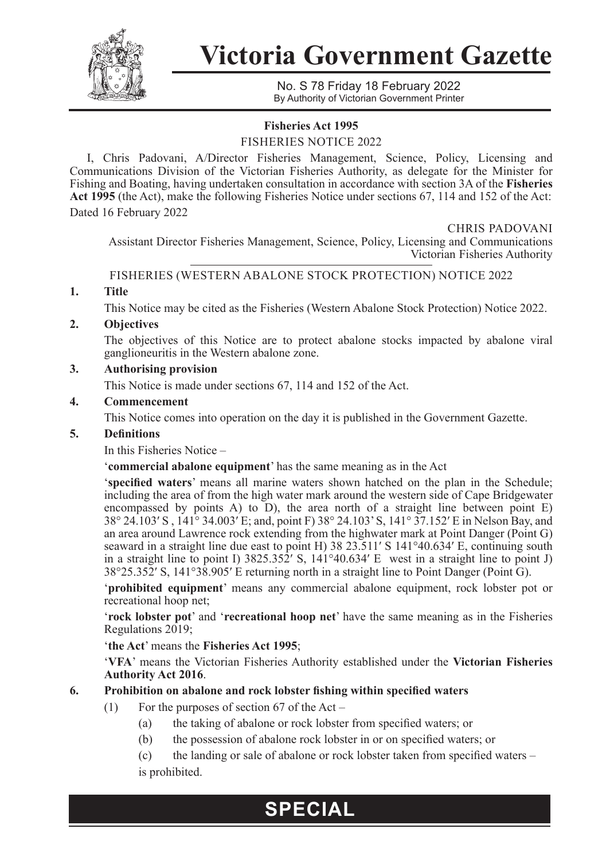

**Victoria Government Gazette**

No. S 78 Friday 18 February 2022 By Authority of Victorian Government Printer

# **Fisheries Act 1995**

FISHERIES NOTICE 2022

I, Chris Padovani, A/Director Fisheries Management, Science, Policy, Licensing and Communications Division of the Victorian Fisheries Authority, as delegate for the Minister for Fishing and Boating, having undertaken consultation in accordance with section 3A of the **Fisheries Act 1995** (the Act), make the following Fisheries Notice under sections 67, 114 and 152 of the Act: Dated 16 February 2022

CHRIS PADOVANI

Assistant Director Fisheries Management, Science, Policy, Licensing and Communications Victorian Fisheries Authority

FISHERIES (WESTERN ABALONE STOCK PROTECTION) NOTICE 2022

# **1. Title**

This Notice may be cited as the Fisheries (Western Abalone Stock Protection) Notice 2022.

# **2. Objectives**

The objectives of this Notice are to protect abalone stocks impacted by abalone viral ganglioneuritis in the Western abalone zone.

# **3. Authorising provision**

This Notice is made under sections 67, 114 and 152 of the Act.

# **4. Commencement**

This Notice comes into operation on the day it is published in the Government Gazette.

# **5. Definitions**

In this Fisheries Notice –

'**commercial abalone equipment**' has the same meaning as in the Act

'**specified waters**' means all marine waters shown hatched on the plan in the Schedule; including the area of from the high water mark around the western side of Cape Bridgewater encompassed by points A) to  $\overline{D}$ ), the area north of a straight line between point E) 38° 24.103′ S , 141° 34.003′ E; and, point F) 38° 24.103' S, 141° 37.152′ E in Nelson Bay, and an area around Lawrence rock extending from the highwater mark at Point Danger (Point G) seaward in a straight line due east to point H) 38 23.511′ S 141°40.634′ E, continuing south in a straight line to point I) 3825.352′ S, 141°40.634′ E west in a straight line to point J) 38°25.352′ S, 141°38.905′ E returning north in a straight line to Point Danger (Point G).

'**prohibited equipment**' means any commercial abalone equipment, rock lobster pot or recreational hoop net;

'**rock lobster pot**' and '**recreational hoop net**' have the same meaning as in the Fisheries Regulations 2019;

# '**the Act**' means the **Fisheries Act 1995**;

'**VFA**' means the Victorian Fisheries Authority established under the **Victorian Fisheries Authority Act 2016**.

# **6. Prohibition on abalone and rock lobster fishing within specified waters**

- (1) For the purposes of section 67 of the Act
	- (a) the taking of abalone or rock lobster from specified waters; or

**SPECIAL**

(b) the possession of abalone rock lobster in or on specified waters; or

(c) the landing or sale of abalone or rock lobster taken from specified waters – is prohibited.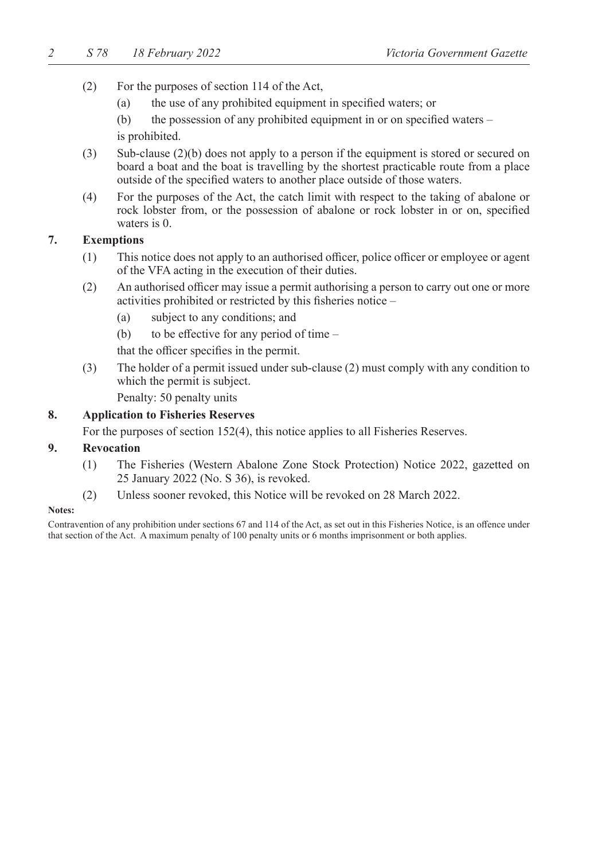- (2) For the purposes of section 114 of the Act,
	- (a) the use of any prohibited equipment in specified waters; or

(b) the possession of any prohibited equipment in or on specified waters – is prohibited.

- (3) Sub-clause (2)(b) does not apply to a person if the equipment is stored or secured on board a boat and the boat is travelling by the shortest practicable route from a place outside of the specified waters to another place outside of those waters.
- (4) For the purposes of the Act, the catch limit with respect to the taking of abalone or rock lobster from, or the possession of abalone or rock lobster in or on, specified waters is 0.

# **7. Exemptions**

- (1) This notice does not apply to an authorised officer, police officer or employee or agent of the VFA acting in the execution of their duties.
- (2) An authorised officer may issue a permit authorising a person to carry out one or more activities prohibited or restricted by this fisheries notice –
	- (a) subject to any conditions; and
	- (b) to be effective for any period of time –

that the officer specifies in the permit.

(3) The holder of a permit issued under sub-clause (2) must comply with any condition to which the permit is subject.

Penalty: 50 penalty units

#### **8. Application to Fisheries Reserves**

For the purposes of section 152(4), this notice applies to all Fisheries Reserves.

#### **9. Revocation**

- (1) The Fisheries (Western Abalone Zone Stock Protection) Notice 2022, gazetted on 25 January 2022 (No. S 36), is revoked.
- (2) Unless sooner revoked, this Notice will be revoked on 28 March 2022.

#### **Notes:**

Contravention of any prohibition under sections 67 and 114 of the Act, as set out in this Fisheries Notice, is an offence under that section of the Act. A maximum penalty of 100 penalty units or 6 months imprisonment or both applies.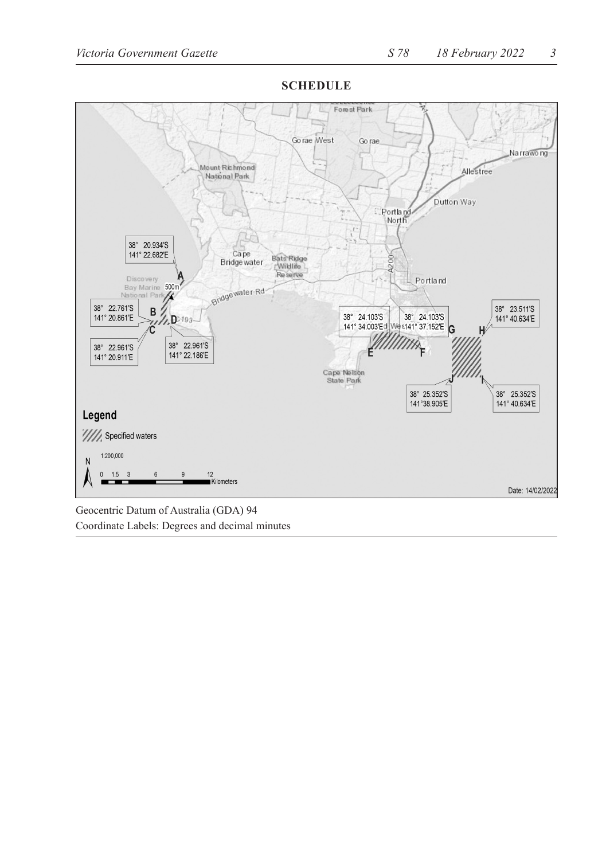

**SCHEDULE**

Geocentric Datum of Australia (GDA) 94 Coordinate Labels: Degrees and decimal minutes